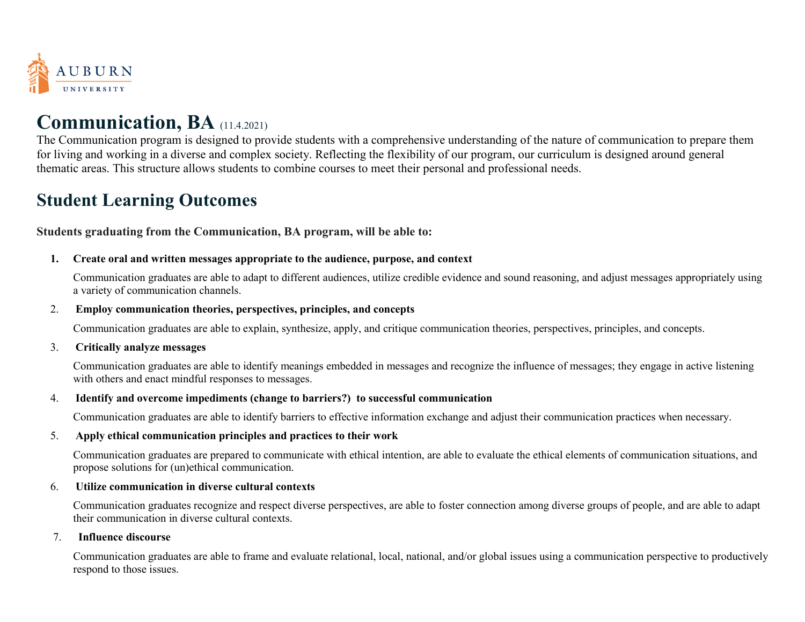

# **Communication, BA** (11.4.2021)

The Communication program is designed to provide students with a comprehensive understanding of the nature of communication to prepare them for living and working in a diverse and complex society. Reflecting the flexibility of our program, our curriculum is designed around general thematic areas. This structure allows students to combine courses to meet their personal and professional needs.

# **Student Learning Outcomes**

**Students graduating from the Communication, BA program, will be able to:**

## **1. Create oral and written messages appropriate to the audience, purpose, and context**

Communication graduates are able to adapt to different audiences, utilize credible evidence and sound reasoning, and adjust messages appropriately using a variety of communication channels.

## 2. **Employ communication theories, perspectives, principles, and concepts**

Communication graduates are able to explain, synthesize, apply, and critique communication theories, perspectives, principles, and concepts.

#### 3. **Critically analyze messages**

Communication graduates are able to identify meanings embedded in messages and recognize the influence of messages; they engage in active listening with others and enact mindful responses to messages.

## 4. **Identify and overcome impediments (change to barriers?) to successful communication**

Communication graduates are able to identify barriers to effective information exchange and adjust their communication practices when necessary.

## 5. **Apply ethical communication principles and practices to their work**

Communication graduates are prepared to communicate with ethical intention, are able to evaluate the ethical elements of communication situations, and propose solutions for (un)ethical communication.

#### 6. **Utilize communication in diverse cultural contexts**

Communication graduates recognize and respect diverse perspectives, are able to foster connection among diverse groups of people, and are able to adapt their communication in diverse cultural contexts.

#### 7. **Influence discourse**

Communication graduates are able to frame and evaluate relational, local, national, and/or global issues using a communication perspective to productively respond to those issues.